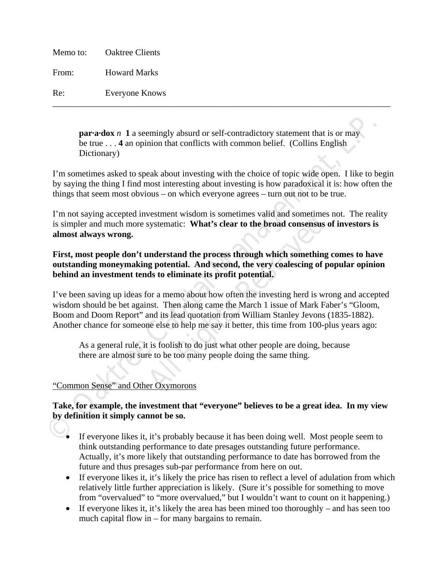Memo to: Oaktree Clients From: Howard Marks Re: Everyone Knows

> **par-a-dox** *n* **1** a seemingly absurd or self-contradictory statement that is or may be true . . . **4** an opinion that conflicts with common belief. (Collins English Dictionary)

\_\_\_\_\_\_\_\_\_\_\_\_\_\_\_\_\_\_\_\_\_\_\_\_\_\_\_\_\_\_\_\_\_\_\_\_\_\_\_\_\_\_\_\_\_\_\_\_\_\_\_\_\_\_\_\_\_\_\_\_\_\_\_\_\_\_\_\_\_\_\_\_\_\_\_\_\_

I'm sometimes asked to speak about investing with the choice of topic wide open. I like to begin by saying the thing I find most interesting about investing is how paradoxical it is: how often the things that seem most obvious – on which everyone agrees – turn out not to be true.

I'm not saying accepted investment wisdom is sometimes valid and sometimes not. The reality is simpler and much more systematic: **What's clear to the broad consensus of investors is almost always wrong.**

**First, most people don't understand the process through which something comes to have outstanding moneymaking potential. And second, the very coalescing of popular opinion behind an investment tends to eliminate its profit potential.** 

**paradox** *n* 1 a seemingly absurd or self-contradictory statement that is or may<br>be true ... 4 an opinion that conflicts with common belief. (Collins English<br>Dictionary)<br>The sometimes asked to speak about investing with vestment wisdom is sometimes valid and sometimes<br>systematic: **What's clear to the broad consensus c**<br>**All Rights Rights Reserved All Rights Reserved All Rights Reserved All Rights Reserved All Rights to eliminate its profi** I've been saving up ideas for a memo about how often the investing herd is wrong and accepted wisdom should be bet against. Then along came the March 1 issue of Mark Faber's "Gloom, Boom and Doom Report" and its lead quotation from William Stanley Jevons (1835-1882). Another chance for someone else to help me say it better, this time from 100-plus years ago:

As a general rule, it is foolish to do just what other people are doing, because there are almost sure to be too many people doing the same thing.

## "Common Sense" and Other Oxymorons

# **Take, for example, the investment that "everyone" believes to be a great idea. In my view by definition it simply cannot be so.**

- If everyone likes it, it's probably because it has been doing well. Most people seem to think outstanding performance to date presages outstanding future performance. Actually, it's more likely that outstanding performance to date has borrowed from the future and thus presages sub-par performance from here on out.
- If everyone likes it, it's likely the price has risen to reflect a level of adulation from which relatively little further appreciation is likely. (Sure it's possible for something to move from "overvalued" to "more overvalued," but I wouldn't want to count on it happening.)
- If everyone likes it, it's likely the area has been mined too thoroughly and has seen too much capital flow in – for many bargains to remain.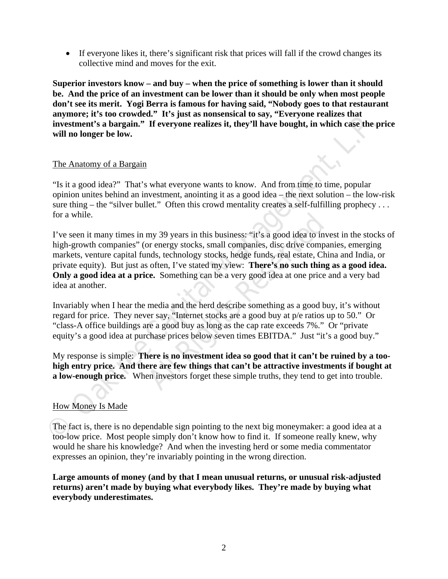If everyone likes it, there's significant risk that prices will fall if the crowd changes its collective mind and moves for the exit.

**Superior investors know – and buy – when the price of something is lower than it should be. And the price of an investment can be lower than it should be only when most people don't see its merit. Yogi Berra is famous for having said, "Nobody goes to that restaurant anymore; it's too crowded." It's just as nonsensical to say, "Everyone realizes that investment's a bargain." If everyone realizes it, they'll have bought, in which case the price will no longer be low.** 

### The Anatomy of a Bargain

"Is it a good idea?" That's what everyone wants to know. And from time to time, popular opinion unites behind an investment, anointing it as a good idea – the next solution – the low-risk sure thing – the "silver bullet." Often this crowd mentality creates a self-fulfilling prophecy ... for a while.

**EXECUTE SOMAGE THE SOMAGE THE SURVENT CONDETERT SOMAGE THE SOMAGE THE SURVENT CONDET THE SURVENTION TO DETERT THE SURVENTION TO DETERT THE ANTION OF THE ANTION OF THE ANTION OF THE ANTION OF THE ANTION OF THE ANTION OF TH** my 39 years in this business: "it's a good idea to invort energy stocks, small companies, disc drive compands, technology stocks, hedge funds, real estate, Chis often, I've stated my view: **There's no such thing ce.** Somet I've seen it many times in my 39 years in this business: "it's a good idea to invest in the stocks of high-growth companies" (or energy stocks, small companies, disc drive companies, emerging markets, venture capital funds, technology stocks, hedge funds, real estate, China and India, or private equity). But just as often, I've stated my view: **There's no such thing as a good idea. Only a good idea at a price.** Something can be a very good idea at one price and a very bad idea at another.

Invariably when I hear the media and the herd describe something as a good buy, it's without regard for price. They never say, "Internet stocks are a good buy at p/e ratios up to 50." Or "class-A office buildings are a good buy as long as the cap rate exceeds 7%." Or "private equity's a good idea at purchase prices below seven times EBITDA." Just "it's a good buy."

My response is simple: **There is no investment idea so good that it can't be ruined by a toohigh entry price. And there are few things that can't be attractive investments if bought at a low-enough price.** When investors forget these simple truths, they tend to get into trouble.

## How Money Is Made

The fact is, there is no dependable sign pointing to the next big moneymaker: a good idea at a too-low price. Most people simply don't know how to find it. If someone really knew, why would he share his knowledge? And when the investing herd or some media commentator expresses an opinion, they're invariably pointing in the wrong direction.

**Large amounts of money (and by that I mean unusual returns, or unusual risk-adjusted returns) aren't made by buying what everybody likes. They're made by buying what everybody underestimates.**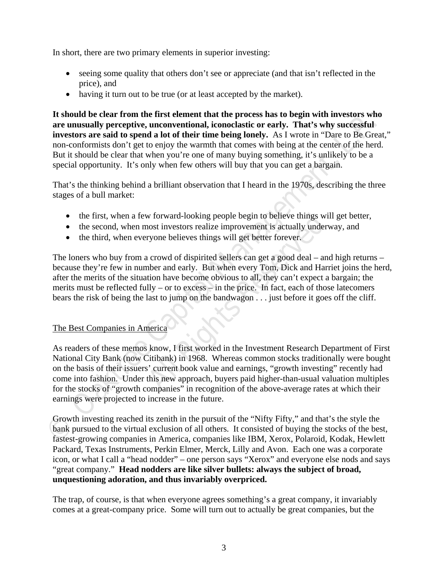In short, there are two primary elements in superior investing:

- seeing some quality that others don't see or appreciate (and that isn't reflected in the price), and
- having it turn out to be true (or at least accepted by the market).

**It should be clear from the first element that the process has to begin with investors who are unusually perceptive, unconventional, iconoclastic or early. That's why successful investors are said to spend a lot of their time being lonely.** As I wrote in "Dare to Be Great," non-conformists don't get to enjoy the warmth that comes with being at the center of the herd. But it should be clear that when you're one of many buying something, it's unlikely to be a special opportunity. It's only when few others will buy that you can get a bargain.

That's the thinking behind a brilliant observation that I heard in the 1970s, describing the three stages of a bull market:

- the first, when a few forward-looking people begin to believe things will get better,
- the second, when most investors realize improvement is actually underway, and
- the third, when everyone believes things will get better forever.

w forward-looking people begin to believe things will<br>nost investors realize improvement is actually undery<br>ryone believes things will get better forever.<br>a crowd of dispirited sellers can get a good deal – an<br>nber and ear The loners who buy from a crowd of dispirited sellers can get a good deal – and high returns – because they're few in number and early. But when every Tom, Dick and Harriet joins the herd, after the merits of the situation have become obvious to all, they can't expect a bargain; the merits must be reflected fully – or to excess – in the price. In fact, each of those latecomers bears the risk of being the last to jump on the bandwagon . . . just before it goes off the cliff.

## The Best Companies in America

**EXALTER SOLUTE THE CONSULT TO THE CONSULT THE SOLUTE THE SOLUTE THE SOLUTE THE SOLUTE THE SOLUTE THE SOLUTE THE SOLUTE THE SOLUTE THE SOLUTE THE SOLUTE THE SOLUTE THE SOLUTE THE SOLUTE THE SOLUTE THANGED INCOLLED THE SOLU** As readers of these memos know, I first worked in the Investment Research Department of First National City Bank (now Citibank) in 1968. Whereas common stocks traditionally were bought on the basis of their issuers' current book value and earnings, "growth investing" recently had come into fashion. Under this new approach, buyers paid higher-than-usual valuation multiples for the stocks of "growth companies" in recognition of the above-average rates at which their earnings were projected to increase in the future.

Growth investing reached its zenith in the pursuit of the "Nifty Fifty," and that's the style the bank pursued to the virtual exclusion of all others. It consisted of buying the stocks of the best, fastest-growing companies in America, companies like IBM, Xerox, Polaroid, Kodak, Hewlett Packard, Texas Instruments, Perkin Elmer, Merck, Lilly and Avon. Each one was a corporate icon, or what I call a "head nodder" – one person says "Xerox" and everyone else nods and says "great company." **Head nodders are like silver bullets: always the subject of broad, unquestioning adoration, and thus invariably overpriced.**

The trap, of course, is that when everyone agrees something's a great company, it invariably comes at a great-company price. Some will turn out to actually be great companies, but the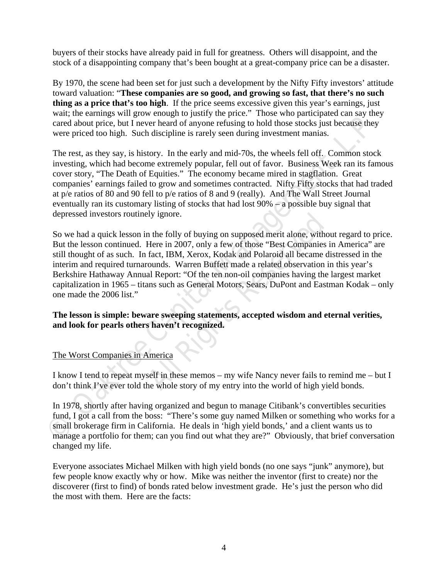buyers of their stocks have already paid in full for greatness. Others will disappoint, and the stock of a disappointing company that's been bought at a great-company price can be a disaster.

By 1970, the scene had been set for just such a development by the Nifty Fifty investors' attitude toward valuation: "**These companies are so good, and growing so fast, that there's no such thing as a price that's too high**. If the price seems excessive given this year's earnings, just wait; the earnings will grow enough to justify the price." Those who participated can say they cared about price, but I never heard of anyone refusing to hold those stocks just because they were priced too high. Such discipline is rarely seen during investment manias.

The rest, as they say, is history. In the early and mid-70s, the wheels fell off. Common stock investing, which had become extremely popular, fell out of favor. Business Week ran its famous cover story, "The Death of Equities." The economy became mired in stagflation. Great companies' earnings failed to grow and sometimes contracted. Nifty Fifty stocks that had traded at p/e ratios of 80 and 90 fell to p/e ratios of 8 and 9 (really). And The Wall Street Journal eventually ran its customary listing of stocks that had lost 90% – a possible buy signal that depressed investors routinely ignore.

wan, the earning wan givour conjunity the piec.<br>
The was the piece and about price, but I never heard of anyone refusing to hold those stocks just because they<br>
were priced too high. Such discipline is rarely seen during **Example 18 All Reserved Schools All Rights Reserved Schools All Rights Reserved Here in 2007, only a few of those "Best Companies if act, IBM, Xerox, Kodak and Polaroid all became dounds. Warren Buffett made a related obs** So we had a quick lesson in the folly of buying on supposed merit alone, without regard to price. But the lesson continued. Here in 2007, only a few of those "Best Companies in America" are still thought of as such. In fact, IBM, Xerox, Kodak and Polaroid all became distressed in the interim and required turnarounds. Warren Buffett made a related observation in this year's Berkshire Hathaway Annual Report: "Of the ten non-oil companies having the largest market capitalization in 1965 – titans such as General Motors, Sears, DuPont and Eastman Kodak – only one made the 2006 list."

### **The lesson is simple: beware sweeping statements, accepted wisdom and eternal verities, and look for pearls others haven't recognized.**

## The Worst Companies in America

I know I tend to repeat myself in these memos – my wife Nancy never fails to remind me – but I don't think I've ever told the whole story of my entry into the world of high yield bonds.

In 1978, shortly after having organized and begun to manage Citibank's convertibles securities fund, I got a call from the boss: "There's some guy named Milken or something who works for a small brokerage firm in California. He deals in 'high yield bonds,' and a client wants us to manage a portfolio for them; can you find out what they are?" Obviously, that brief conversation changed my life.

Everyone associates Michael Milken with high yield bonds (no one says "junk" anymore), but few people know exactly why or how. Mike was neither the inventor (first to create) nor the discoverer (first to find) of bonds rated below investment grade. He's just the person who did the most with them. Here are the facts: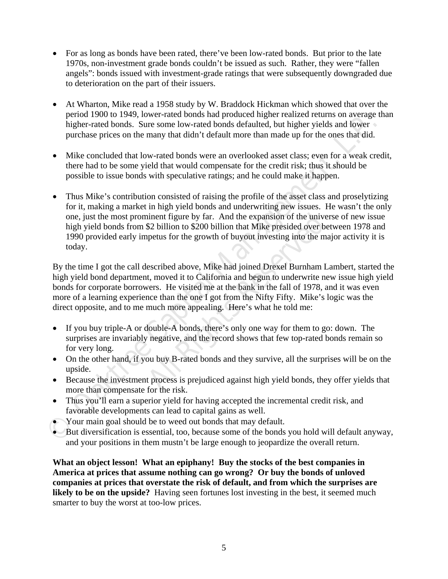- For as long as bonds have been rated, there've been low-rated bonds. But prior to the late 1970s, non-investment grade bonds couldn't be issued as such. Rather, they were "fallen angels": bonds issued with investment-grade ratings that were subsequently downgraded due to deterioration on the part of their issuers.
- At Wharton, Mike read a 1958 study by W. Braddock Hickman which showed that over the period 1900 to 1949, lower-rated bonds had produced higher realized returns on average than higher-rated bonds. Sure some low-rated bonds defaulted, but higher yields and lower purchase prices on the many that didn't default more than made up for the ones that did.
- Mike concluded that low-rated bonds were an overlooked asset class; even for a weak credit, there had to be some yield that would compensate for the credit risk; thus it should be possible to issue bonds with speculative ratings; and he could make it happen.
- bend 19900 for 1994, lower-rated bonds. Sure some low-rated bonds challed, but higher yields and blower<br>plane-rated bonds. Sure some low-rated bonds defaulted, but higher yields and lower<br>plane-rated bonds. Sure some how-• Thus Mike's contribution consisted of raising the profile of the asset class and proselytizing for it, making a market in high yield bonds and underwriting new issues. He wasn't the only one, just the most prominent figure by far. And the expansion of the universe of new issue high yield bonds from \$2 billion to \$200 billion that Mike presided over between 1978 and 1990 provided early impetus for the growth of buyout investing into the major activity it is today.

innent figure by far. And the expansion of the univer<br>\$2 billion to \$200 billion that Mike presided over be<br>petus for the growth of buyout investing into the ma<br>escribed above, Mike had joined Drexel Burnham L.<br>t, moved it By the time I got the call described above, Mike had joined Drexel Burnham Lambert, started the high yield bond department, moved it to California and begun to underwrite new issue high yield bonds for corporate borrowers. He visited me at the bank in the fall of 1978, and it was even more of a learning experience than the one I got from the Nifty Fifty. Mike's logic was the direct opposite, and to me much more appealing. Here's what he told me:

- If you buy triple-A or double-A bonds, there's only one way for them to go: down. The surprises are invariably negative, and the record shows that few top-rated bonds remain so for very long.
- On the other hand, if you buy B-rated bonds and they survive, all the surprises will be on the upside.
- Because the investment process is prejudiced against high yield bonds, they offer yields that more than compensate for the risk.
- Thus you'll earn a superior yield for having accepted the incremental credit risk, and favorable developments can lead to capital gains as well.
- Your main goal should be to weed out bonds that may default.
- But diversification is essential, too, because some of the bonds you hold will default anyway, and your positions in them mustn't be large enough to jeopardize the overall return.

**What an object lesson! What an epiphany! Buy the stocks of the best companies in America at prices that assume nothing can go wrong? Or buy the bonds of unloved companies at prices that overstate the risk of default, and from which the surprises are likely to be on the upside?** Having seen fortunes lost investing in the best, it seemed much smarter to buy the worst at too-low prices.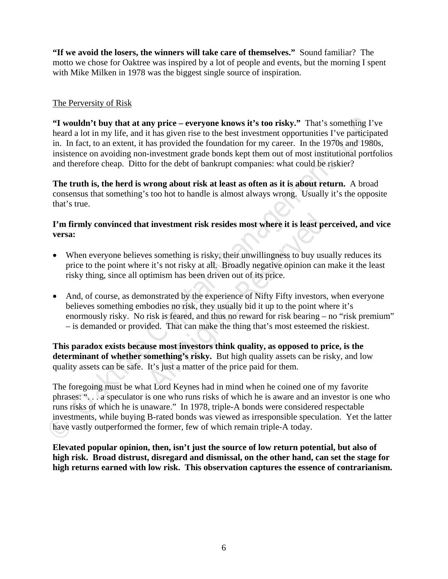**"If we avoid the losers, the winners will take care of themselves."** Sound familiar? The motto we chose for Oaktree was inspired by a lot of people and events, but the morning I spent with Mike Milken in 1978 was the biggest single source of inspiration.

# The Perversity of Risk

**ET wouldn't buy that at any price – everyone knows it's too risky."** That's something I've heard a lot in my life, and it has given rise to the best investment opportunities I've participates in . In fact, to an extent, **"I wouldn't buy that at any price – everyone knows it's too risky."** That's something I've heard a lot in my life, and it has given rise to the best investment opportunities I've participated in. In fact, to an extent, it has provided the foundation for my career. In the 1970s and 1980s, insistence on avoiding non-investment grade bonds kept them out of most institutional portfolios and therefore cheap. Ditto for the debt of bankrupt companies: what could be riskier?

**The truth is, the herd is wrong about risk at least as often as it is about return.** A broad consensus that something's too hot to handle is almost always wrong. Usually it's the opposite that's true.

## **I'm firmly convinced that investment risk resides most where it is least perceived, and vice versa:**

- When everyone believes something is risky, their unwillingness to buy usually reduces its price to the point where it's not risky at all. Broadly negative opinion can make it the least risky thing, since all optimism has been driven out of its price.
- **All Resume EXEC SET SET SET ASSEM SET ALL SET SET ALL SET SET SET SET SET SET SET SHOTT AND THE SET SHOTT AND THE SET SHOTT SHOTT SHOTT SHOTT SHOTT SHOTT SHOTT SHOTT SHOTT SHOTT SHOTT SHOTT SHOTT SHOTT SHOTT SHOTT SHOTT S**  And, of course, as demonstrated by the experience of Nifty Fifty investors, when everyone believes something embodies no risk, they usually bid it up to the point where it's enormously risky. No risk is feared, and thus no reward for risk bearing – no "risk premium" – is demanded or provided. That can make the thing that's most esteemed the riskiest.

**This paradox exists because most investors think quality, as opposed to price, is the determinant of whether something's risky.** But high quality assets can be risky, and low quality assets can be safe. It's just a matter of the price paid for them.

The foregoing must be what Lord Keynes had in mind when he coined one of my favorite phrases: ". . . a speculator is one who runs risks of which he is aware and an investor is one who runs risks of which he is unaware." In 1978, triple-A bonds were considered respectable investments, while buying B-rated bonds was viewed as irresponsible speculation. Yet the latter have vastly outperformed the former, few of which remain triple-A today.

**Elevated popular opinion, then, isn't just the source of low return potential, but also of high risk. Broad distrust, disregard and dismissal, on the other hand, can set the stage for high returns earned with low risk. This observation captures the essence of contrarianism.**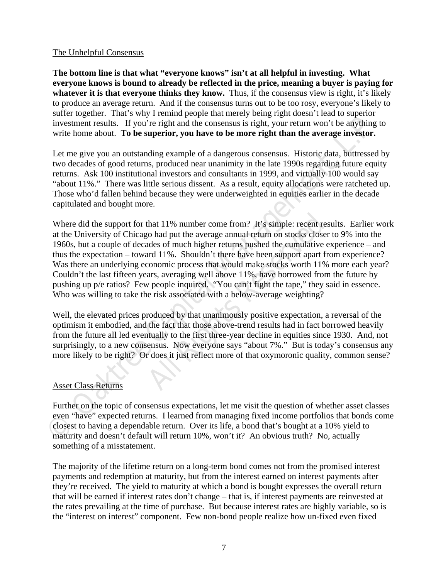### The Unhelpful Consensus

**The bottom line is that what "everyone knows" isn't at all helpful in investing. What everyone knows is bound to already be reflected in the price, meaning a buyer is paying for whatever it is that everyone thinks they know.** Thus, if the consensus view is right, it's likely to produce an average return. And if the consensus turns out to be too rosy, everyone's likely to suffer together. That's why I remind people that merely being right doesn't lead to superior investment results. If you're right and the consensus is right, your return won't be anything to write home about. **To be superior, you have to be more right than the average investor.** 

Let me give you an outstanding example of a dangerous consensus. Historic data, buttressed by two decades of good returns, produced near unanimity in the late 1990s regarding future equity returns. Ask 100 institutional investors and consultants in 1999, and virtually 100 would say "about 11%." There was little serious dissent. As a result, equity allocations were ratcheted up. Those who'd fallen behind because they were underweighted in equities earlier in the decade capitulated and bought more.

since logates. That was y resiming help to an merculo per since the sample in the sample in the sample in the sample of a diagroom of the sample of a diagroom of the sample of a diagroom of the sample of a diagroom of the that 11% number come from? It's simple: recent rest<br>to had put the average annual return on stocks closer<br>ades of much higher returns pushed the cumulative e<br>ard 11%. Shouldn't there have been support apart fre<br>conomic pro Where did the support for that 11% number come from? It's simple: recent results. Earlier work at the University of Chicago had put the average annual return on stocks closer to 9% into the 1960s, but a couple of decades of much higher returns pushed the cumulative experience – and thus the expectation – toward 11%. Shouldn't there have been support apart from experience? Was there an underlying economic process that would make stocks worth 11% more each year? Couldn't the last fifteen years, averaging well above 11%, have borrowed from the future by pushing up p/e ratios? Few people inquired. "You can't fight the tape," they said in essence. Who was willing to take the risk associated with a below-average weighting?

Well, the elevated prices produced by that unanimously positive expectation, a reversal of the optimism it embodied, and the fact that those above-trend results had in fact borrowed heavily from the future all led eventually to the first three-year decline in equities since 1930. And, not surprisingly, to a new consensus. Now everyone says "about 7%." But is today's consensus any more likely to be right? Or does it just reflect more of that oxymoronic quality, common sense?

## Asset Class Returns

Further on the topic of consensus expectations, let me visit the question of whether asset classes even "have" expected returns. I learned from managing fixed income portfolios that bonds come closest to having a dependable return. Over its life, a bond that's bought at a 10% yield to maturity and doesn't default will return 10%, won't it? An obvious truth? No, actually something of a misstatement.

The majority of the lifetime return on a long-term bond comes not from the promised interest payments and redemption at maturity, but from the interest earned on interest payments after they're received. The yield to maturity at which a bond is bought expresses the overall return that will be earned if interest rates don't change – that is, if interest payments are reinvested at the rates prevailing at the time of purchase. But because interest rates are highly variable, so is the "interest on interest" component. Few non-bond people realize how un-fixed even fixed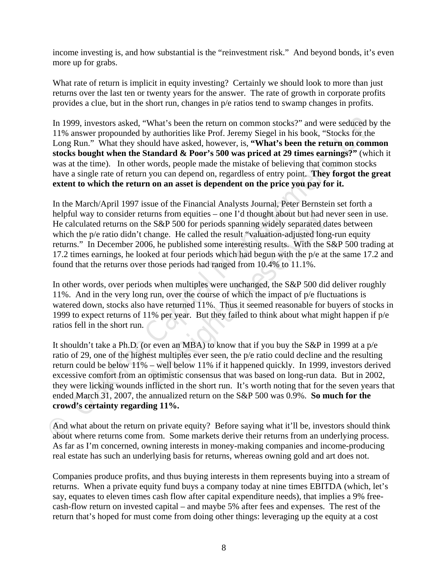income investing is, and how substantial is the "reinvestment risk." And beyond bonds, it's even more up for grabs.

What rate of return is implicit in equity investing? Certainly we should look to more than just returns over the last ten or twenty years for the answer. The rate of growth in corporate profits provides a clue, but in the short run, changes in p/e ratios tend to swamp changes in profits.

In 1999, investors asked, "What's been the return on common stocks?" and were seduced by the 11% answer propounded by authorities like Prof. Jeremy Siegel in his book, "Stocks for the Long Run." What they should have asked, however, is, **"What's been the return on common stocks bought when the Standard & Poor's 500 was priced at 29 times earnings?"** (which it was at the time). In other words, people made the mistake of believing that common stocks have a single rate of return you can depend on, regardless of entry point. **They forgot the great extent to which the return on an asset is dependent on the price you pay for it.** 

In 1999, investors asked, "What's been the return on common stocks?" and were seduced by 11% answer propounded by anthorities like Prof. Jereny (Segel in bis book, "Stocks for the Long Run." What they should have asked, h urns from equities – one I'd thought about but had n<br>e S&P 500 for periods spanning widely separated da<br>hange. He called the result "valuation-adjusted long<br>06, he published some interesting results. With the S<br>ked at fou In the March/April 1997 issue of the Financial Analysts Journal, Peter Bernstein set forth a helpful way to consider returns from equities – one I'd thought about but had never seen in use. He calculated returns on the S&P 500 for periods spanning widely separated dates between which the p/e ratio didn't change. He called the result "valuation-adjusted long-run equity" returns." In December 2006, he published some interesting results. With the S&P 500 trading at 17.2 times earnings, he looked at four periods which had begun with the p/e at the same 17.2 and found that the returns over those periods had ranged from 10.4% to 11.1%.

In other words, over periods when multiples were unchanged, the S&P 500 did deliver roughly 11%. And in the very long run, over the course of which the impact of p/e fluctuations is watered down, stocks also have returned 11%. Thus it seemed reasonable for buyers of stocks in 1999 to expect returns of 11% per year. But they failed to think about what might happen if p/e ratios fell in the short run.

It shouldn't take a Ph.D. (or even an MBA) to know that if you buy the S&P in 1999 at a p/e ratio of 29, one of the highest multiples ever seen, the p/e ratio could decline and the resulting return could be below 11% – well below 11% if it happened quickly. In 1999, investors derived excessive comfort from an optimistic consensus that was based on long-run data. But in 2002, they were licking wounds inflicted in the short run. It's worth noting that for the seven years that ended March 31, 2007, the annualized return on the S&P 500 was 0.9%. **So much for the crowd's certainty regarding 11%.** 

And what about the return on private equity? Before saying what it'll be, investors should think about where returns come from. Some markets derive their returns from an underlying process. As far as I'm concerned, owning interests in money-making companies and income-producing real estate has such an underlying basis for returns, whereas owning gold and art does not.

Companies produce profits, and thus buying interests in them represents buying into a stream of returns. When a private equity fund buys a company today at nine times EBITDA (which, let's say, equates to eleven times cash flow after capital expenditure needs), that implies a 9% freecash-flow return on invested capital – and maybe 5% after fees and expenses. The rest of the return that's hoped for must come from doing other things: leveraging up the equity at a cost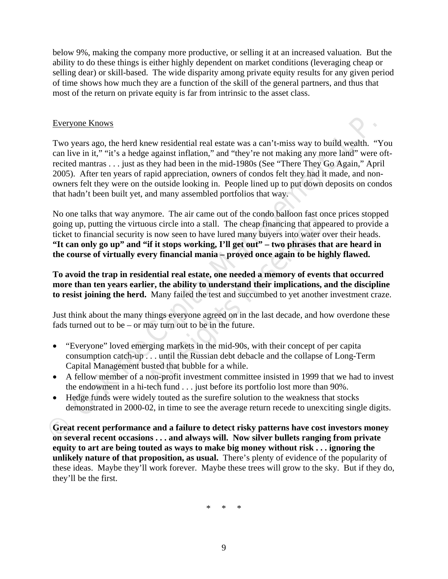below 9%, making the company more productive, or selling it at an increased valuation. But the ability to do these things is either highly dependent on market conditions (leveraging cheap or selling dear) or skill-based. The wide disparity among private equity results for any given period of time shows how much they are a function of the skill of the general partners, and thus that most of the return on private equity is far from intrinsic to the asset class.

### Everyone Knows

**Everyone Knows**<br>
Two years ago, the herd knew residential real estate was a can't-miss way to build wealth. "Ye capital mediant in "tit's a hedge agains in fillation," und "they ire not making any more lamit were consider Two years ago, the herd knew residential real estate was a can't-miss way to build wealth. "You can live in it," "it's a hedge against inflation," and "they're not making any more land" were oftrecited mantras . . . just as they had been in the mid-1980s (See "There They Go Again," April 2005). After ten years of rapid appreciation, owners of condos felt they had it made, and nonowners felt they were on the outside looking in. People lined up to put down deposits on condos that hadn't been built yet, and many assembled portfolios that way.

nore. The air came out of the condo balloon fast oncous circle into a stall. The cheap financing that appesis now seen to have lured many buyers into water over **if it stops working, I'll get out''** – **two phrases that eve** No one talks that way anymore. The air came out of the condo balloon fast once prices stopped going up, putting the virtuous circle into a stall. The cheap financing that appeared to provide a ticket to financial security is now seen to have lured many buyers into water over their heads. **"It can only go up" and "if it stops working, I'll get out" – two phrases that are heard in the course of virtually every financial mania – proved once again to be highly flawed.** 

**To avoid the trap in residential real estate, one needed a memory of events that occurred more than ten years earlier, the ability to understand their implications, and the discipline to resist joining the herd.** Many failed the test and succumbed to yet another investment craze.

Just think about the many things everyone agreed on in the last decade, and how overdone these fads turned out to be – or may turn out to be in the future.

- "Everyone" loved emerging markets in the mid-90s, with their concept of per capita consumption catch-up . . . until the Russian debt debacle and the collapse of Long-Term Capital Management busted that bubble for a while.
- A fellow member of a non-profit investment committee insisted in 1999 that we had to invest the endowment in a hi-tech fund . . . just before its portfolio lost more than 90%.
- Hedge funds were widely touted as the surefire solution to the weakness that stocks demonstrated in 2000-02, in time to see the average return recede to unexciting single digits.

**Great recent performance and a failure to detect risky patterns have cost investors money on several recent occasions . . . and always will. Now silver bullets ranging from private equity to art are being touted as ways to make big money without risk . . . ignoring the unlikely nature of that proposition, as usual.** There's plenty of evidence of the popularity of these ideas. Maybe they'll work forever. Maybe these trees will grow to the sky. But if they do, they'll be the first.

\* \* \*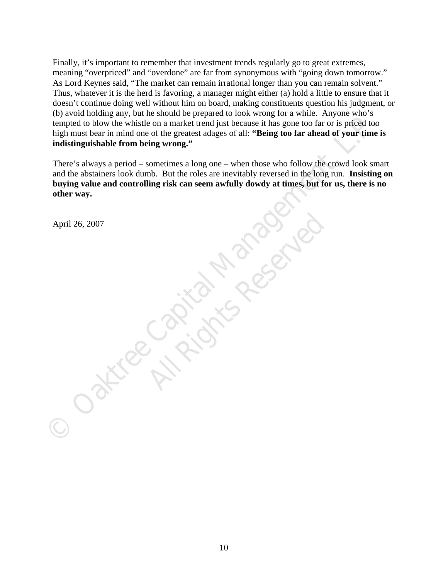Finally, it's important to remember that investment trends regularly go to great extremes, meaning "overpriced" and "overdone" are far from synonymous with "going down tomorrow." As Lord Keynes said, "The market can remain irrational longer than you can remain solvent." Thus, whatever it is the herd is favoring, a manager might either (a) hold a little to ensure that it doesn't continue doing well without him on board, making constituents question his judgment, or (b) avoid holding any, but he should be prepared to look wrong for a while. Anyone who's tempted to blow the whistle on a market trend just because it has gone too far or is priced too high must bear in mind one of the greatest adages of all: **"Being too far ahead of your time is indistinguishable from being wrong."**

(*b*) accout incoming any, have some one prejerate to now words, the tempted to blow the whistle on a market tered gias because it has gone too far or is priced too.<br>
high mark far in mind one of the greatest tadges of all There's always a period – sometimes a long one – when those who follow the crowd look smart and the abstainers look dumb. But the roles are inevitably reversed in the long run. **Insisting on buying value and controlling risk can seem awfully dowdy at times, but for us, there is no other way.** 

**All Rights Reserved** 

April 26, 2007